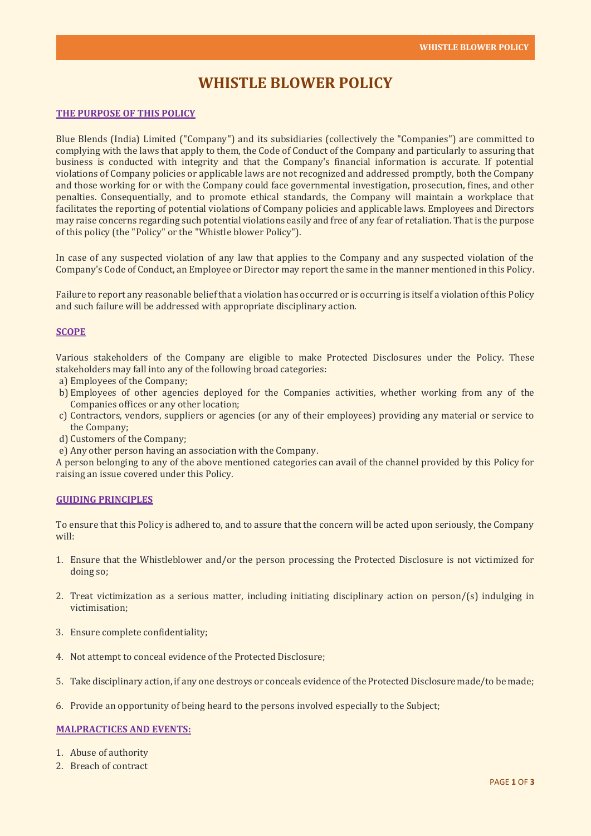# **WHISTLE BLOWER POLICY**

#### **THE PURPOSE OF THIS POLICY**

Blue Blends (India) Limited ("Company") and its subsidiaries (collectively the "Companies") are committed to complying with the laws that apply to them, the Code of Conduct of the Company and particularly to assuring that business is conducted with integrity and that the Company's financial information is accurate. If potential violations of Company policies or applicable laws are not recognized and addressed promptly, both the Company and those working for or with the Company could face governmental investigation, prosecution, fines, and other penalties. Consequentially, and to promote ethical standards, the Company will maintain a workplace that facilitates the reporting of potential violations of Company policies and applicable laws. Employees and Directors may raise concerns regarding such potential violations easily and free of any fear of retaliation. That is the purpose of this policy (the "Policy" or the "Whistle blower Policy").

In case of any suspected violation of any law that applies to the Company and any suspected violation of the Company's Code of Conduct, an Employee or Director may report the same in the manner mentioned in this Policy.

Failure to report any reasonable belief that a violation has occurred or is occurring is itself a violation of this Policy and such failure will be addressed with appropriate disciplinary action.

# **SCOPE**

Various stakeholders of the Company are eligible to make Protected Disclosures under the Policy. These stakeholders may fall into any of the following broad categories:

- a) Employees of the Company;
- b) Employees of other agencies deployed for the Companies activities, whether working from any of the Companies offices or any other location;
- c) Contractors, vendors, suppliers or agencies (or any of their employees) providing any material or service to the Company;
- d) Customers of the Company;
- e) Any other person having an association with the Company.

A person belonging to any of the above mentioned categories can avail of the channel provided by this Policy for raising an issue covered under this Policy.

#### **GUIDING PRINCIPLES**

To ensure that this Policy is adhered to, and to assure that the concern will be acted upon seriously, the Company will:

- 1. Ensure that the Whistleblower and/or the person processing the Protected Disclosure is not victimized for doing so;
- 2. Treat victimization as a serious matter, including initiating disciplinary action on person/(s) indulging in victimisation;
- 3. Ensure complete confidentiality;
- 4. Not attempt to conceal evidence of the Protected Disclosure;
- 5. Take disciplinary action, if any one destroys or conceals evidence of the Protected Disclosure made/to be made;
- 6. Provide an opportunity of being heard to the persons involved especially to the Subject;

# **MALPRACTICES AND EVENTS:**

- 1. Abuse of authority
- 2. Breach of contract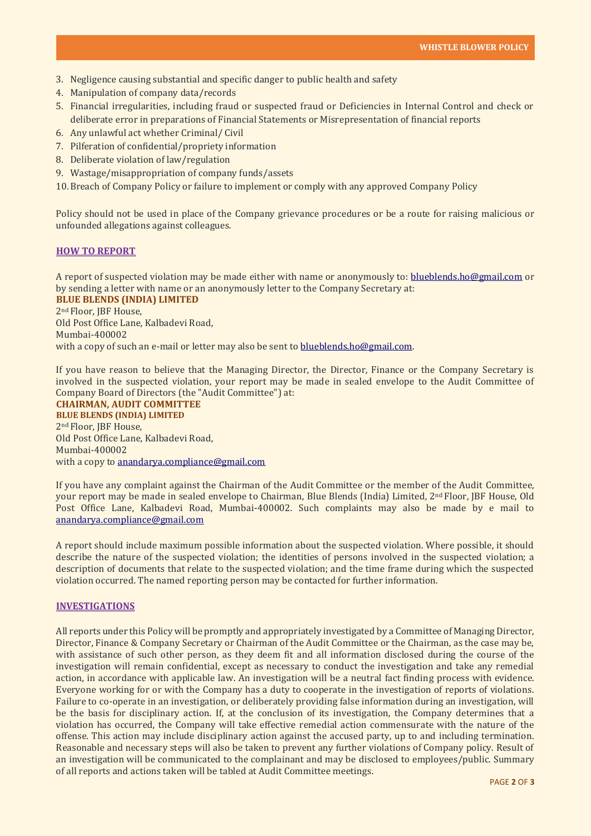- 3. Negligence causing substantial and specific danger to public health and safety
- 4. Manipulation of company data/records
- 5. Financial irregularities, including fraud or suspected fraud or Deficiencies in Internal Control and check or deliberate error in preparations of Financial Statements or Misrepresentation of financial reports
- 6. Any unlawful act whether Criminal/ Civil
- 7. Pilferation of confidential/propriety information
- 8. Deliberate violation of law/regulation
- 9. Wastage/misappropriation of company funds/assets
- 10.Breach of Company Policy or failure to implement or comply with any approved Company Policy

Policy should not be used in place of the Company grievance procedures or be a route for raising malicious or unfounded allegations against colleagues.

## **HOW TO REPORT**

A report of suspected violation may be made either with name or anonymously to: [blueblends.ho@gmail.com](mailto:blueblends.ho@gmail.com) or by sending a letter with name or an anonymously letter to the Company Secretary at: **BLUE BLENDS (INDIA) LIMITED**

2nd Floor, JBF House, Old Post Office Lane, Kalbadevi Road, Mumbai-400002 with a copy of such an e-mail or letter may also be sent to [blueblends.ho@gmail.com.](mailto:blueblends.ho@gmail.com)

If you have reason to believe that the Managing Director, the Director, Finance or the Company Secretary is involved in the suspected violation, your report may be made in sealed envelope to the Audit Committee of Company Board of Directors (the "Audit Committee") at:

**CHAIRMAN, AUDIT COMMITTEE BLUE BLENDS (INDIA) LIMITED** 2nd Floor, JBF House, Old Post Office Lane, Kalbadevi Road, Mumbai-400002 with a copy to [anandarya.compliance@gmail.com](mailto:anandarya.compliance@gmail.com)

If you have any complaint against the Chairman of the Audit Committee or the member of the Audit Committee, your report may be made in sealed envelope to Chairman, Blue Blends (India) Limited, 2nd Floor, JBF House, Old Post Office Lane, Kalbadevi Road, Mumbai-400002. Such complaints may also be made by e mail to [anandarya.compliance@gmail.com](mailto:anandarya.compliance@gmail.com)

A report should include maximum possible information about the suspected violation. Where possible, it should describe the nature of the suspected violation; the identities of persons involved in the suspected violation; a description of documents that relate to the suspected violation; and the time frame during which the suspected violation occurred. The named reporting person may be contacted for further information.

# **INVESTIGATIONS**

All reports under this Policy will be promptly and appropriately investigated by a Committee of Managing Director, Director, Finance & Company Secretary or Chairman of the Audit Committee or the Chairman, as the case may be, with assistance of such other person, as they deem fit and all information disclosed during the course of the investigation will remain confidential, except as necessary to conduct the investigation and take any remedial action, in accordance with applicable law. An investigation will be a neutral fact finding process with evidence. Everyone working for or with the Company has a duty to cooperate in the investigation of reports of violations. Failure to co-operate in an investigation, or deliberately providing false information during an investigation, will be the basis for disciplinary action. If, at the conclusion of its investigation, the Company determines that a violation has occurred, the Company will take effective remedial action commensurate with the nature of the offense. This action may include disciplinary action against the accused party, up to and including termination. Reasonable and necessary steps will also be taken to prevent any further violations of Company policy. Result of an investigation will be communicated to the complainant and may be disclosed to employees/public. Summary of all reports and actions taken will be tabled at Audit Committee meetings.